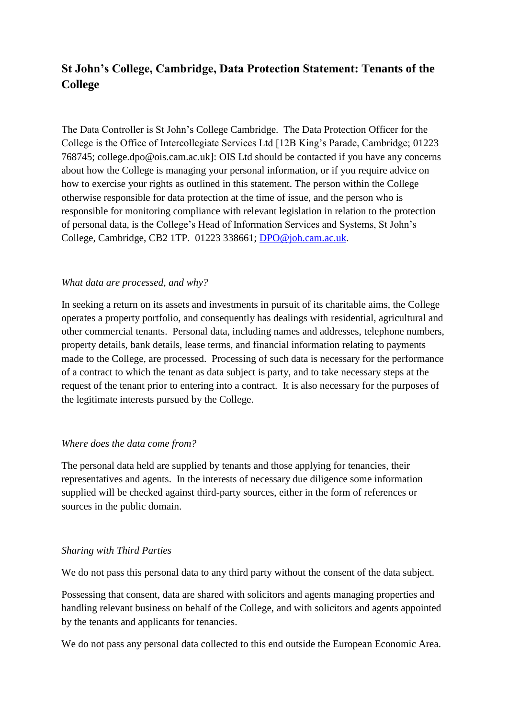# **St John's College, Cambridge, Data Protection Statement: Tenants of the College**

The Data Controller is St John's College Cambridge. The Data Protection Officer for the College is the Office of Intercollegiate Services Ltd [12B King's Parade, Cambridge; 01223 768745; college.dpo@ois.cam.ac.uk]: OIS Ltd should be contacted if you have any concerns about how the College is managing your personal information, or if you require advice on how to exercise your rights as outlined in this statement. The person within the College otherwise responsible for data protection at the time of issue, and the person who is responsible for monitoring compliance with relevant legislation in relation to the protection of personal data, is the College's Head of Information Services and Systems, St John's College, Cambridge, CB2 1TP. 01223 338661; [DPO@joh.cam.ac.uk.](mailto:DPO@joh.cam.ac.uk)

# *What data are processed, and why?*

In seeking a return on its assets and investments in pursuit of its charitable aims, the College operates a property portfolio, and consequently has dealings with residential, agricultural and other commercial tenants. Personal data, including names and addresses, telephone numbers, property details, bank details, lease terms, and financial information relating to payments made to the College, are processed. Processing of such data is necessary for the performance of a contract to which the tenant as data subject is party, and to take necessary steps at the request of the tenant prior to entering into a contract. It is also necessary for the purposes of the legitimate interests pursued by the College.

#### *Where does the data come from?*

The personal data held are supplied by tenants and those applying for tenancies, their representatives and agents. In the interests of necessary due diligence some information supplied will be checked against third-party sources, either in the form of references or sources in the public domain.

#### *Sharing with Third Parties*

We do not pass this personal data to any third party without the consent of the data subject.

Possessing that consent, data are shared with solicitors and agents managing properties and handling relevant business on behalf of the College, and with solicitors and agents appointed by the tenants and applicants for tenancies.

We do not pass any personal data collected to this end outside the European Economic Area.